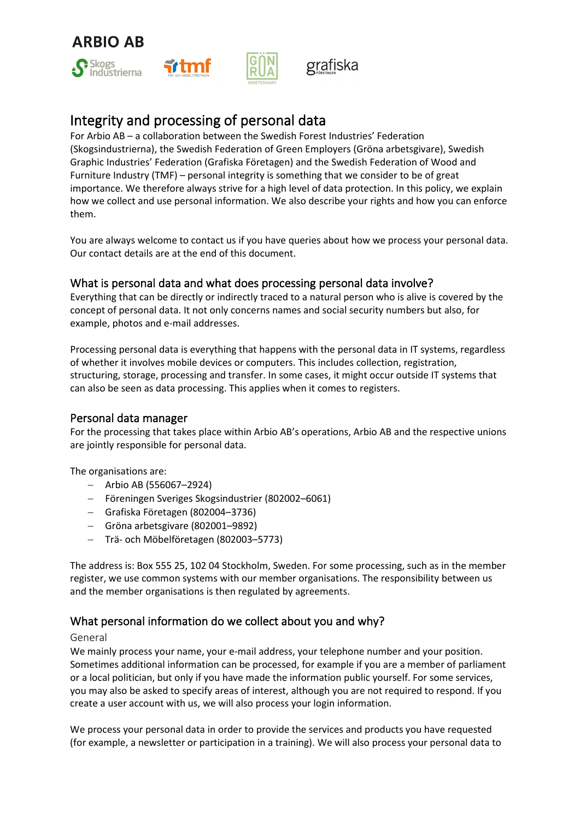



# Integrity and processing of personal data

For Arbio AB – a collaboration between the Swedish Forest Industries' Federation (Skogsindustrierna), the Swedish Federation of Green Employers (Gröna arbetsgivare), Swedish Graphic Industries' Federation (Grafiska Företagen) and the Swedish Federation of Wood and Furniture Industry (TMF) – personal integrity is something that we consider to be of great importance. We therefore always strive for a high level of data protection. In this policy, we explain how we collect and use personal information. We also describe your rights and how you can enforce them.

You are always welcome to contact us if you have queries about how we process your personal data. Our contact details are at the end of this document.

# What is personal data and what does processing personal data involve?

Everything that can be directly or indirectly traced to a natural person who is alive is covered by the concept of personal data. It not only concerns names and social security numbers but also, for example, photos and e-mail addresses.

Processing personal data is everything that happens with the personal data in IT systems, regardless of whether it involves mobile devices or computers. This includes collection, registration, structuring, storage, processing and transfer. In some cases, it might occur outside IT systems that can also be seen as data processing. This applies when it comes to registers.

## Personal data manager

For the processing that takes place within Arbio AB's operations, Arbio AB and the respective unions are jointly responsible for personal data.

The organisations are:

- − Arbio AB (556067–2924)
- − Föreningen Sveriges Skogsindustrier (802002–6061)
- − Grafiska Företagen (802004–3736)
- − Gröna arbetsgivare (802001–9892)
- − Trä- och Möbelföretagen (802003–5773)

The address is: Box 555 25, 102 04 Stockholm, Sweden. For some processing, such as in the member register, we use common systems with our member organisations. The responsibility between us and the member organisations is then regulated by agreements.

# What personal information do we collect about you and why?

#### General

We mainly process your name, your e-mail address, your telephone number and your position. Sometimes additional information can be processed, for example if you are a member of parliament or a local politician, but only if you have made the information public yourself. For some services, you may also be asked to specify areas of interest, although you are not required to respond. If you create a user account with us, we will also process your login information.

We process your personal data in order to provide the services and products you have requested (for example, a newsletter or participation in a training). We will also process your personal data to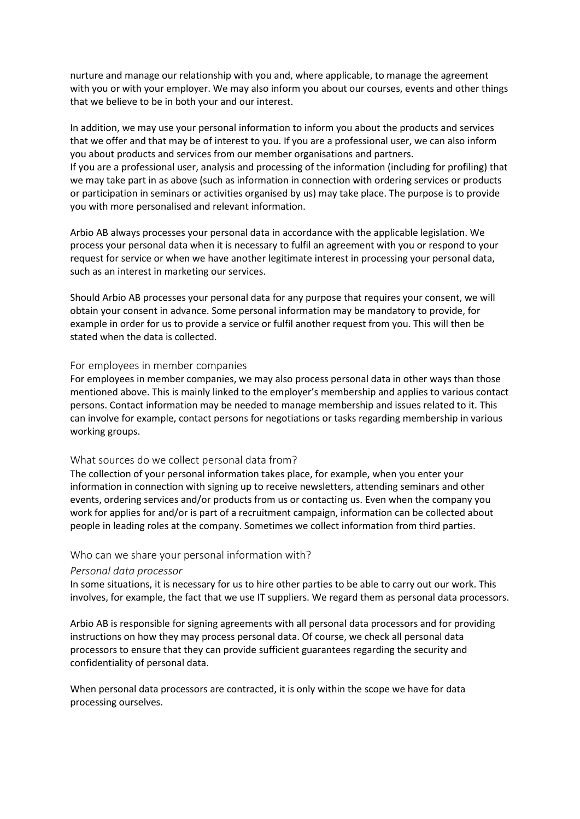nurture and manage our relationship with you and, where applicable, to manage the agreement with you or with your employer. We may also inform you about our courses, events and other things that we believe to be in both your and our interest.

In addition, we may use your personal information to inform you about the products and services that we offer and that may be of interest to you. If you are a professional user, we can also inform you about products and services from our member organisations and partners. If you are a professional user, analysis and processing of the information (including for profiling) that we may take part in as above (such as information in connection with ordering services or products or participation in seminars or activities organised by us) may take place. The purpose is to provide you with more personalised and relevant information.

Arbio AB always processes your personal data in accordance with the applicable legislation. We process your personal data when it is necessary to fulfil an agreement with you or respond to your request for service or when we have another legitimate interest in processing your personal data, such as an interest in marketing our services.

Should Arbio AB processes your personal data for any purpose that requires your consent, we will obtain your consent in advance. Some personal information may be mandatory to provide, for example in order for us to provide a service or fulfil another request from you. This will then be stated when the data is collected.

## For employees in member companies

For employees in member companies, we may also process personal data in other ways than those mentioned above. This is mainly linked to the employer's membership and applies to various contact persons. Contact information may be needed to manage membership and issues related to it. This can involve for example, contact persons for negotiations or tasks regarding membership in various working groups.

#### What sources do we collect personal data from?

The collection of your personal information takes place, for example, when you enter your information in connection with signing up to receive newsletters, attending seminars and other events, ordering services and/or products from us or contacting us. Even when the company you work for applies for and/or is part of a recruitment campaign, information can be collected about people in leading roles at the company. Sometimes we collect information from third parties.

#### Who can we share your personal information with?

#### *Personal data processor*

In some situations, it is necessary for us to hire other parties to be able to carry out our work. This involves, for example, the fact that we use IT suppliers. We regard them as personal data processors.

Arbio AB is responsible for signing agreements with all personal data processors and for providing instructions on how they may process personal data. Of course, we check all personal data processors to ensure that they can provide sufficient guarantees regarding the security and confidentiality of personal data.

When personal data processors are contracted, it is only within the scope we have for data processing ourselves.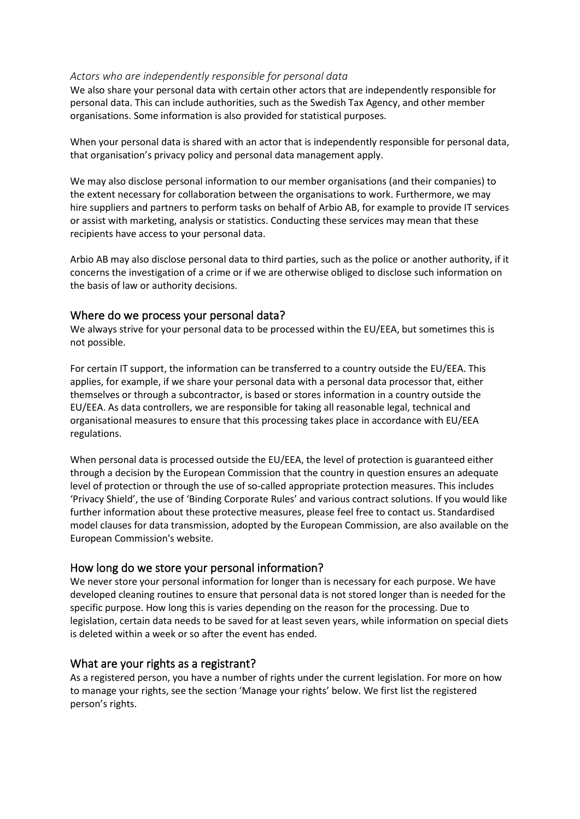## *Actors who are independently responsible for personal data*

We also share your personal data with certain other actors that are independently responsible for personal data. This can include authorities, such as the Swedish Tax Agency, and other member organisations. Some information is also provided for statistical purposes.

When your personal data is shared with an actor that is independently responsible for personal data, that organisation's privacy policy and personal data management apply.

We may also disclose personal information to our member organisations (and their companies) to the extent necessary for collaboration between the organisations to work. Furthermore, we may hire suppliers and partners to perform tasks on behalf of Arbio AB, for example to provide IT services or assist with marketing, analysis or statistics. Conducting these services may mean that these recipients have access to your personal data.

Arbio AB may also disclose personal data to third parties, such as the police or another authority, if it concerns the investigation of a crime or if we are otherwise obliged to disclose such information on the basis of law or authority decisions.

# Where do we process your personal data?

We always strive for your personal data to be processed within the EU/EEA, but sometimes this is not possible.

For certain IT support, the information can be transferred to a country outside the EU/EEA. This applies, for example, if we share your personal data with a personal data processor that, either themselves or through a subcontractor, is based or stores information in a country outside the EU/EEA. As data controllers, we are responsible for taking all reasonable legal, technical and organisational measures to ensure that this processing takes place in accordance with EU/EEA regulations.

When personal data is processed outside the EU/EEA, the level of protection is guaranteed either through a decision by the European Commission that the country in question ensures an adequate level of protection or through the use of so-called appropriate protection measures. This includes 'Privacy Shield', the use of 'Binding Corporate Rules' and various contract solutions. If you would like further information about these protective measures, please feel free to contact us. Standardised model clauses for data transmission, adopted by the European Commission, are also available on the European Commission's website.

# How long do we store your personal information?

We never store your personal information for longer than is necessary for each purpose. We have developed cleaning routines to ensure that personal data is not stored longer than is needed for the specific purpose. How long this is varies depending on the reason for the processing. Due to legislation, certain data needs to be saved for at least seven years, while information on special diets is deleted within a week or so after the event has ended.

## What are your rights as a registrant?

As a registered person, you have a number of rights under the current legislation. For more on how to manage your rights, see the section 'Manage your rights' below. We first list the registered person's rights.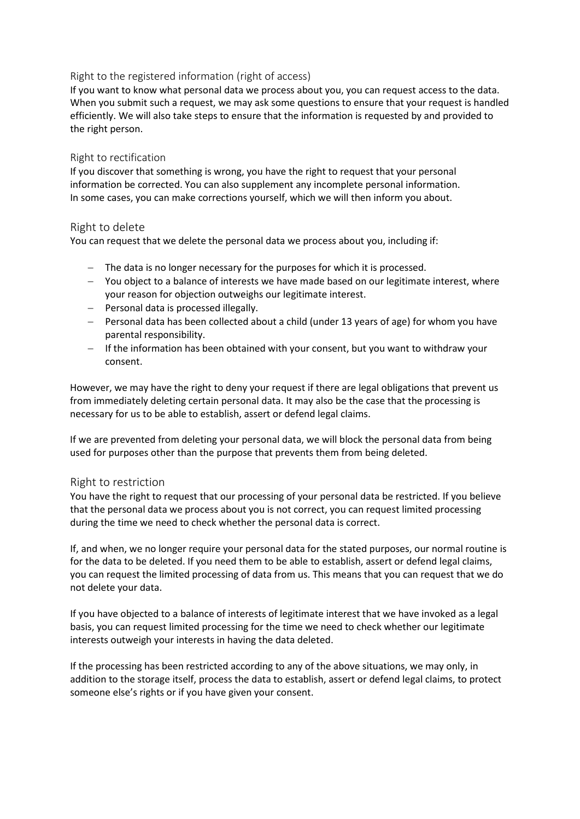## Right to the registered information (right of access)

If you want to know what personal data we process about you, you can request access to the data. When you submit such a request, we may ask some questions to ensure that your request is handled efficiently. We will also take steps to ensure that the information is requested by and provided to the right person.

#### Right to rectification

If you discover that something is wrong, you have the right to request that your personal information be corrected. You can also supplement any incomplete personal information. In some cases, you can make corrections yourself, which we will then inform you about.

## Right to delete

You can request that we delete the personal data we process about you, including if:

- − The data is no longer necessary for the purposes for which it is processed.
- − You object to a balance of interests we have made based on our legitimate interest, where your reason for objection outweighs our legitimate interest.
- − Personal data is processed illegally.
- − Personal data has been collected about a child (under 13 years of age) for whom you have parental responsibility.
- − If the information has been obtained with your consent, but you want to withdraw your consent.

However, we may have the right to deny your request if there are legal obligations that prevent us from immediately deleting certain personal data. It may also be the case that the processing is necessary for us to be able to establish, assert or defend legal claims.

If we are prevented from deleting your personal data, we will block the personal data from being used for purposes other than the purpose that prevents them from being deleted.

#### Right to restriction

You have the right to request that our processing of your personal data be restricted. If you believe that the personal data we process about you is not correct, you can request limited processing during the time we need to check whether the personal data is correct.

If, and when, we no longer require your personal data for the stated purposes, our normal routine is for the data to be deleted. If you need them to be able to establish, assert or defend legal claims, you can request the limited processing of data from us. This means that you can request that we do not delete your data.

If you have objected to a balance of interests of legitimate interest that we have invoked as a legal basis, you can request limited processing for the time we need to check whether our legitimate interests outweigh your interests in having the data deleted.

If the processing has been restricted according to any of the above situations, we may only, in addition to the storage itself, process the data to establish, assert or defend legal claims, to protect someone else's rights or if you have given your consent.